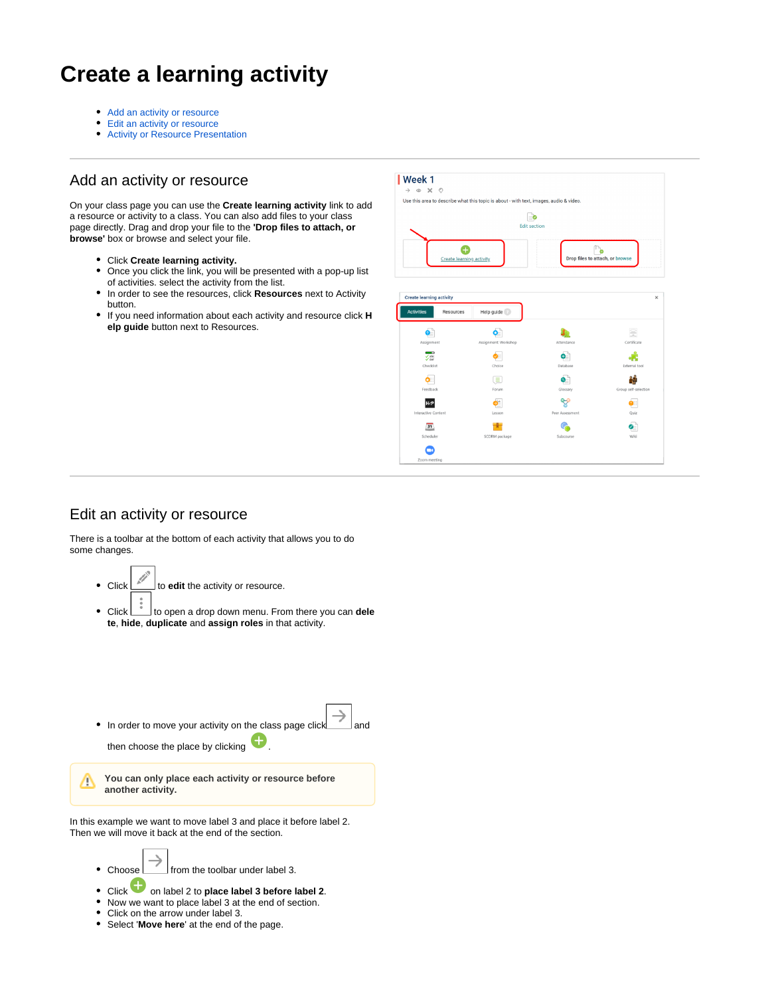## **Create a learning activity**

- [Add an activity or resource](#page-0-0)
- [Edit an activity or resource](#page-0-1)
- [Activity or Resource Presentation](#page-2-0)

## <span id="page-0-0"></span>Add an activity or resource

On your class page you can use the **Create learning activity** link to add a resource or activity to a class. You can also add files to your class page directly. Drag and drop your file to the **'Drop files to attach, or browse'** box or browse and select your file.

- Click **Create learning activity.**
- Once you click the link, you will be presented with a pop-up list of activities. select the activity from the list.
- In order to see the resources, click **Resources** next to Activity button.
- If you need information about each activity and resource click **H elp guide** button next to Resources.





## <span id="page-0-1"></span>Edit an activity or resource

There is a toolbar at the bottom of each activity that allows you to do some changes.

- Click **the activity or resource**. Click **the depth open a drop down menu. From there you can dele**  $\bullet$ **te**, **hide**, **duplicate** and **assign roles** in that activity.
- In order to move your activity on the class page click in and

then choose the place by clicking

**You can only place each activity or resource before**  Δ **another activity.**

In this example we want to move label 3 and place it before label 2. Then we will move it back at the end of the section.

- Choose from the toolbar under label 3.
- Click on label 2 to **place label 3 before label 2**.  $\bullet$
- $\bullet$ Now we want to place label 3 at the end of section.
- $\bullet$ Click on the arrow under label 3.
- Select '**Move here**' at the end of the page.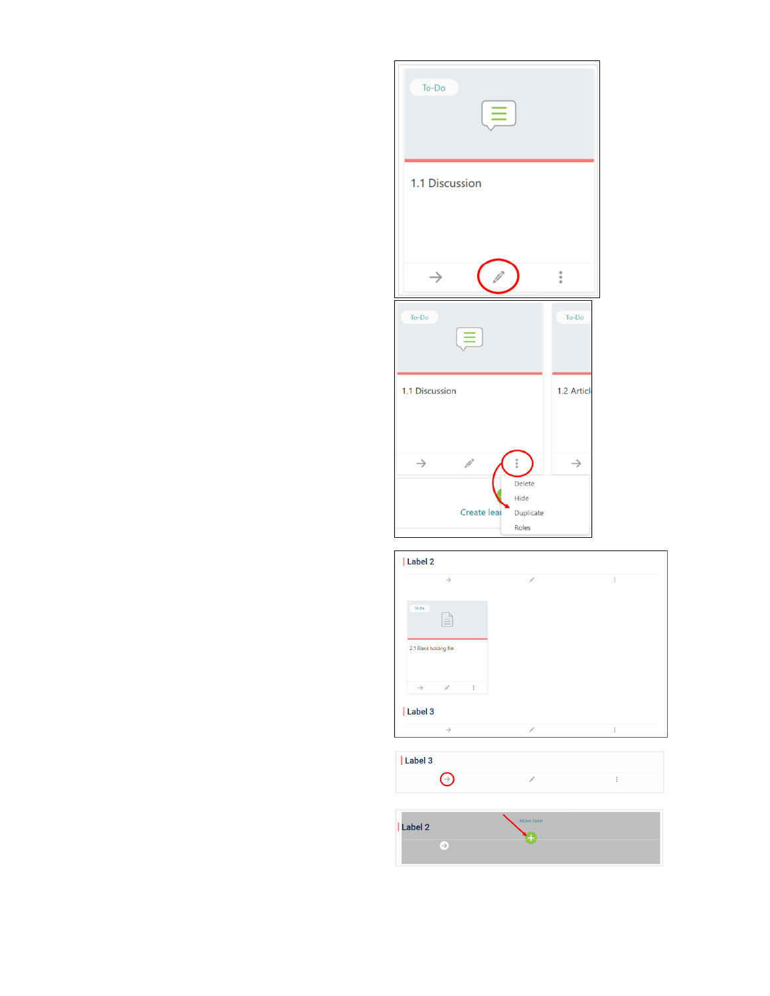